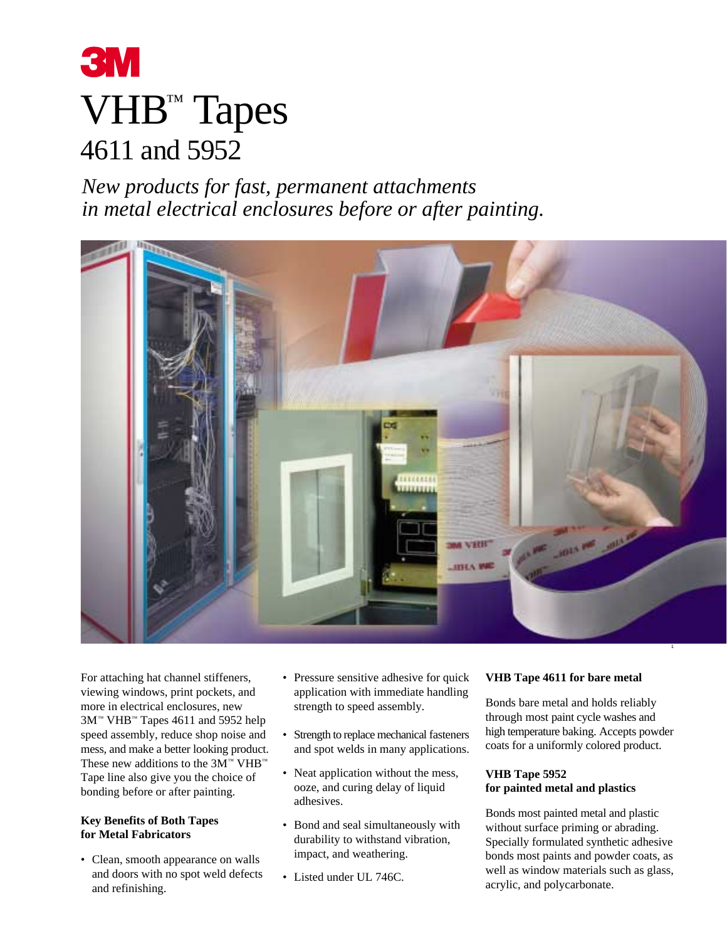

*New products for fast, permanent attachments in metal electrical enclosures before or after painting.*



For attaching hat channel stiffeners, viewing windows, print pockets, and more in electrical enclosures, new 3M™ VHB™ Tapes 4611 and 5952 help speed assembly, reduce shop noise and mess, and make a better looking product. These new additions to the 3M™ VHB™ Tape line also give you the choice of bonding before or after painting.

### **Key Benefits of Both Tapes for Metal Fabricators**

• Clean, smooth appearance on walls and doors with no spot weld defects and refinishing.

- Pressure sensitive adhesive for quick application with immediate handling strength to speed assembly.
- Strength to replace mechanical fasteners and spot welds in many applications.
- Neat application without the mess, ooze, and curing delay of liquid adhesives.
- Bond and seal simultaneously with durability to withstand vibration, impact, and weathering.
- Listed under UL 746C.

### **VHB Tape 4611 for bare metal**

Bonds bare metal and holds reliably through most paint cycle washes and high temperature baking. Accepts powder coats for a uniformly colored product.

### **VHB Tape 5952 for painted metal and plastics**

Bonds most painted metal and plastic without surface priming or abrading. Specially formulated synthetic adhesive bonds most paints and powder coats, as well as window materials such as glass, acrylic, and polycarbonate.